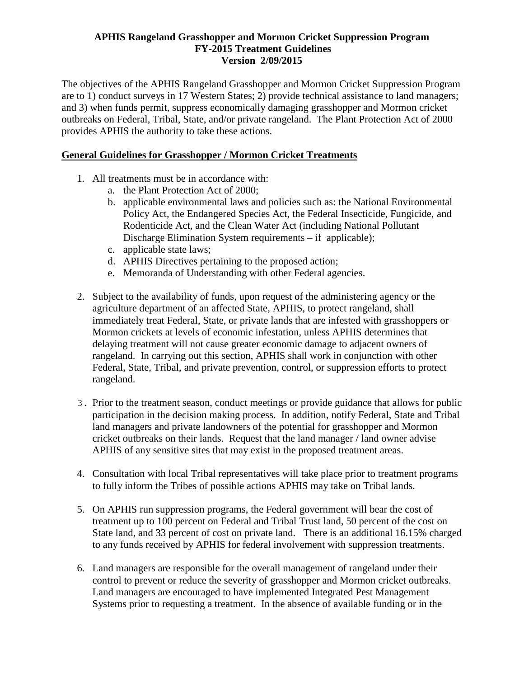#### **APHIS Rangeland Grasshopper and Mormon Cricket Suppression Program FY-2015 Treatment Guidelines Version 2/09/2015**

The objectives of the APHIS Rangeland Grasshopper and Mormon Cricket Suppression Program are to 1) conduct surveys in 17 Western States; 2) provide technical assistance to land managers; and 3) when funds permit, suppress economically damaging grasshopper and Mormon cricket outbreaks on Federal, Tribal, State, and/or private rangeland. The Plant Protection Act of 2000 provides APHIS the authority to take these actions.

# **General Guidelines for Grasshopper / Mormon Cricket Treatments**

- 1. All treatments must be in accordance with:
	- a. the Plant Protection Act of 2000;
	- b. applicable environmental laws and policies such as: the National Environmental Policy Act, the Endangered Species Act, the Federal Insecticide, Fungicide, and Rodenticide Act, and the Clean Water Act (including National Pollutant Discharge Elimination System requirements – if applicable);
	- c. applicable state laws;
	- d. APHIS Directives pertaining to the proposed action;
	- e. Memoranda of Understanding with other Federal agencies.
- 2. Subject to the availability of funds, upon request of the administering agency or the agriculture department of an affected State, APHIS, to protect rangeland, shall immediately treat Federal, State, or private lands that are infested with grasshoppers or Mormon crickets at levels of economic infestation, unless APHIS determines that delaying treatment will not cause greater economic damage to adjacent owners of rangeland. In carrying out this section, APHIS shall work in conjunction with other Federal, State, Tribal, and private prevention, control, or suppression efforts to protect rangeland.
- 3. Prior to the treatment season, conduct meetings or provide guidance that allows for public participation in the decision making process. In addition, notify Federal, State and Tribal land managers and private landowners of the potential for grasshopper and Mormon cricket outbreaks on their lands. Request that the land manager / land owner advise APHIS of any sensitive sites that may exist in the proposed treatment areas.
- 4. Consultation with local Tribal representatives will take place prior to treatment programs to fully inform the Tribes of possible actions APHIS may take on Tribal lands.
- 5. On APHIS run suppression programs, the Federal government will bear the cost of treatment up to 100 percent on Federal and Tribal Trust land, 50 percent of the cost on State land, and 33 percent of cost on private land. There is an additional 16.15% charged to any funds received by APHIS for federal involvement with suppression treatments.
- 6. Land managers are responsible for the overall management of rangeland under their control to prevent or reduce the severity of grasshopper and Mormon cricket outbreaks. Land managers are encouraged to have implemented Integrated Pest Management Systems prior to requesting a treatment. In the absence of available funding or in the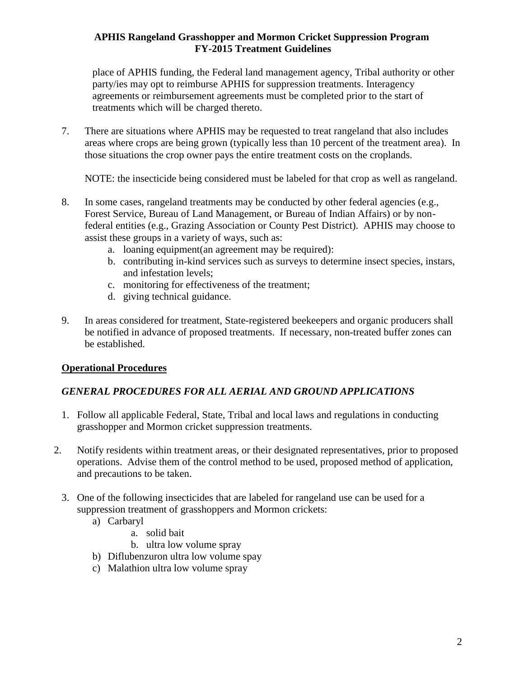# **APHIS Rangeland Grasshopper and Mormon Cricket Suppression Program FY-2015 Treatment Guidelines**

place of APHIS funding, the Federal land management agency, Tribal authority or other party/ies may opt to reimburse APHIS for suppression treatments. Interagency agreements or reimbursement agreements must be completed prior to the start of treatments which will be charged thereto.

7. There are situations where APHIS may be requested to treat rangeland that also includes areas where crops are being grown (typically less than 10 percent of the treatment area). In those situations the crop owner pays the entire treatment costs on the croplands.

NOTE: the insecticide being considered must be labeled for that crop as well as rangeland.

- 8. In some cases, rangeland treatments may be conducted by other federal agencies (e.g., Forest Service, Bureau of Land Management, or Bureau of Indian Affairs) or by nonfederal entities (e.g., Grazing Association or County Pest District). APHIS may choose to assist these groups in a variety of ways, such as:
	- a. loaning equipment(an agreement may be required):
	- b. contributing in-kind services such as surveys to determine insect species, instars, and infestation levels;
	- c. monitoring for effectiveness of the treatment;
	- d. giving technical guidance.
- 9. In areas considered for treatment, State-registered beekeepers and organic producers shall be notified in advance of proposed treatments. If necessary, non-treated buffer zones can be established.

# **Operational Procedures**

# *GENERAL PROCEDURES FOR ALL AERIAL AND GROUND APPLICATIONS*

- 1. Follow all applicable Federal, State, Tribal and local laws and regulations in conducting grasshopper and Mormon cricket suppression treatments.
- 2. Notify residents within treatment areas, or their designated representatives, prior to proposed operations. Advise them of the control method to be used, proposed method of application, and precautions to be taken.
	- 3. One of the following insecticides that are labeled for rangeland use can be used for a suppression treatment of grasshoppers and Mormon crickets:
		- a) Carbaryl
			- a. solid bait
			- b. ultra low volume spray
		- b) Diflubenzuron ultra low volume spay
		- c) Malathion ultra low volume spray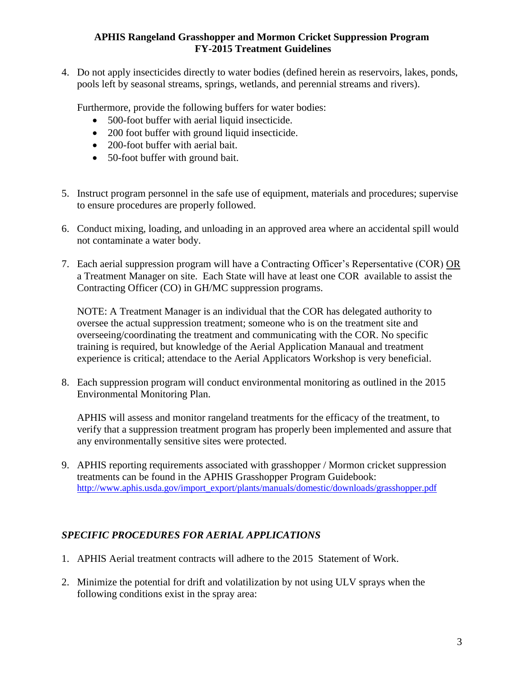### **APHIS Rangeland Grasshopper and Mormon Cricket Suppression Program FY-2015 Treatment Guidelines**

4. Do not apply insecticides directly to water bodies (defined herein as reservoirs, lakes, ponds, pools left by seasonal streams, springs, wetlands, and perennial streams and rivers).

Furthermore, provide the following buffers for water bodies:

- 500-foot buffer with aerial liquid insecticide.
- 200 foot buffer with ground liquid insecticide.
- 200-foot buffer with aerial bait.
- 50-foot buffer with ground bait.
- 5. Instruct program personnel in the safe use of equipment, materials and procedures; supervise to ensure procedures are properly followed.
- 6. Conduct mixing, loading, and unloading in an approved area where an accidental spill would not contaminate a water body.
- 7. Each aerial suppression program will have a Contracting Officer's Repersentative (COR) OR a Treatment Manager on site. Each State will have at least one COR available to assist the Contracting Officer (CO) in GH/MC suppression programs.

NOTE: A Treatment Manager is an individual that the COR has delegated authority to oversee the actual suppression treatment; someone who is on the treatment site and overseeing/coordinating the treatment and communicating with the COR. No specific training is required, but knowledge of the Aerial Application Manaual and treatment experience is critical; attendace to the Aerial Applicators Workshop is very beneficial.

8. Each suppression program will conduct environmental monitoring as outlined in the 2015 Environmental Monitoring Plan.

APHIS will assess and monitor rangeland treatments for the efficacy of the treatment, to verify that a suppression treatment program has properly been implemented and assure that any environmentally sensitive sites were protected.

9. APHIS reporting requirements associated with grasshopper / Mormon cricket suppression treatments can be found in the APHIS Grasshopper Program Guidebook: [http://www.aphis.usda.gov/import\\_export/plants/manuals/domestic/downloads/grasshopper.pdf](http://www.aphis.usda.gov/import_export/plants/manuals/domestic/downloads/grasshopper.pdf)

# *SPECIFIC PROCEDURES FOR AERIAL APPLICATIONS*

- 1. APHIS Aerial treatment contracts will adhere to the 2015 Statement of Work.
- 2. Minimize the potential for drift and volatilization by not using ULV sprays when the following conditions exist in the spray area: